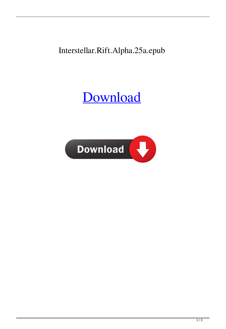## Interstellar.Rift.Alpha.25a.epub

## [Download](http://evacdir.com/chilean/cliental.elon/lapse.moribund/SW50ZXJzdGVsbGFyLlJpZnQuQWxwaGEuMjVhLmVwdWISW5/ZG93bmxvYWR8Yk43TVd0bWEzeDhNVFkxTWpjME1EZzJObng4TWpVM05IeDhLRTBwSUhKbFlXUXRZbXh2WnlCYlJtRnpkQ0JIUlU1ZA/feedmypsp)

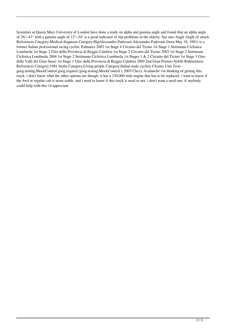Scientists at Queen Mary University of London have done a study on alpha and gamma angle and found that an alpha angle of  $26^{\circ} - 43^{\circ}$  with a gamma angle of  $12^{\circ} - 34^{\circ}$  is a good indicator of hip problems in the elderly. See also Angle Angle of attack References Category:Medical diagnosis Category:HipAlessandro Padovani Alessandro Padovani (born May 18, 1981) is a former Italian professional racing cyclist. Palmares 2002 1st Stage 4 Circuito del Ticino 1st Stage 1 Settimana Ciclistica Lombarda 1st Stage 2 Giro della Provincia di Reggio Calabria 1st Stage 2 Circuito del Ticino 2003 1st Stage 2 Settimana Ciclistica Lombarda 2004 1st Stage 2 Settimana Ciclistica Lombarda 1st Stages 1 & 2 Circuito del Ticino 1st Stage 3 Giro delle Valli del Gran Sasso 1st Stage 1 Giro della Provincia di Reggio Calabria 2005 2nd Gran Premio Nobili Rubinetterie References Category:1981 births Category:Living people Category:Italian male cyclists Closure Unit Tests goog.testing.MockControl goog.require('goog.testing.MockControl'); 2003 Chevy Avalanche i'm thinking of getting this truck. i don't know what the other options are though. it has a 230,000 mile engine that has to be replaced. i want to know if the 4wd or regular cab is more stable. and i need to know if this truck is used or not. i don't want a used one. if anybody could help with this i'd appreciate